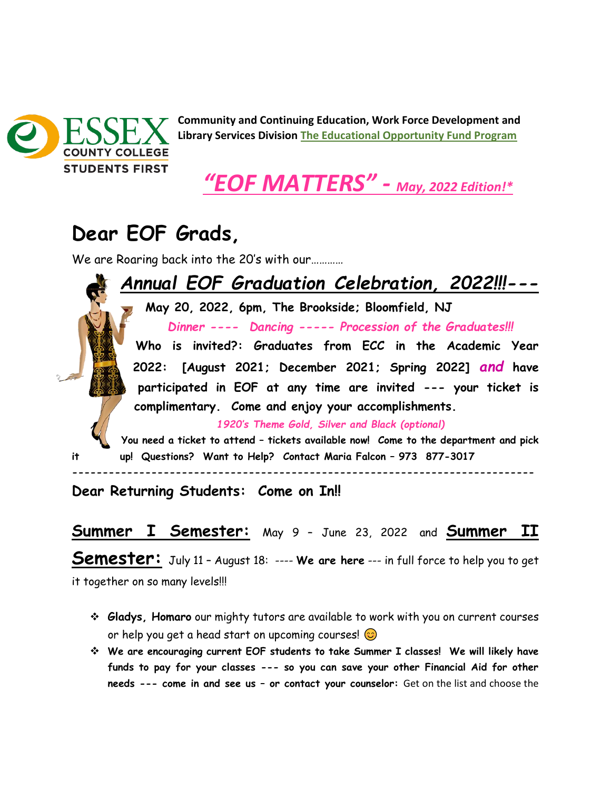

**Community and Continuing Education, Work Force Development and Library Services Division The Educational Opportunity Fund Program** 



## **Dear EOF Grads,**

We are Roaring back into the 20's with our...........

*Annual EOF Graduation Celebration, 2022!!!---* **May 20, 2022, 6pm, The Brookside; Bloomfield, NJ** *Dinner ---- Dancing ----- Procession of the Graduates!!!* **Who is invited?: Graduates from ECC in the Academic Year 2022: [August 2021; December 2021; Spring 2022]** *and* **have participated in EOF at any time are invited --- your ticket is complimentary. Come and enjoy your accomplishments.** *1920's Theme Gold, Silver and Black (optional)* **You need a ticket to attend – tickets available now! Come to the department and pick it up! Questions? Want to Help? Contact Maria Falcon – 973 877-3017 ----------------------------------------------------------------------------**

**Dear Returning Students: Come on In!!**

**Summer I Semester:** May 9 – June 23, 2022 and **Summer II**

**Semester:** July 11 – August 18: ---- **We are here** --- in full force to help you to get it together on so many levels!!!

- ❖ **Gladys, Homaro** our mighty tutors are available to work with you on current courses or help you get a head start on upcoming courses!  $\odot$
- ❖ **We are encouraging current EOF students to take Summer I classes! We will likely have funds to pay for your classes --- so you can save your other Financial Aid for other needs --- come in and see us – or contact your counselor:** Get on the list and choose the